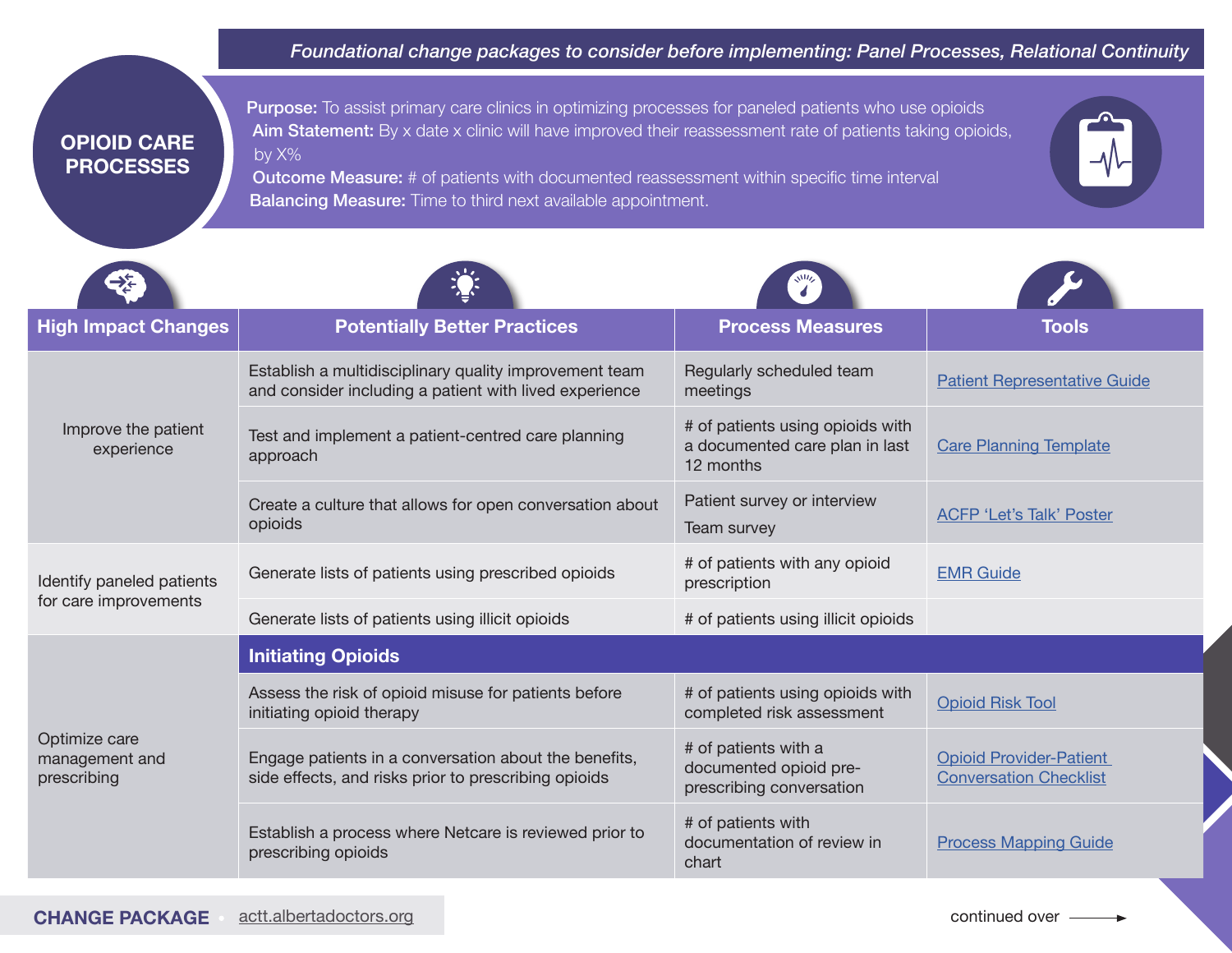*Foundational change packages to consider before implementing: Panel Processes, Relational Continuity*

## **OPIOID CARE PROCESSES**

**Purpose:** To assist primary care clinics in optimizing processes for paneled patients who use opioids Aim Statement: By x date x clinic will have improved their reassessment rate of patients taking opioids, by X%

Outcome Measure: # of patients with documented reassessment within specific time interval **Balancing Measure:** Time to third next available appointment.

| <b>High Impact Changes</b>                         | <b>Potentially Better Practices</b>                                                                              | <b>Process Measures</b>                                                         | Tools                                                           |
|----------------------------------------------------|------------------------------------------------------------------------------------------------------------------|---------------------------------------------------------------------------------|-----------------------------------------------------------------|
| Improve the patient<br>experience                  | Establish a multidisciplinary quality improvement team<br>and consider including a patient with lived experience | Regularly scheduled team<br>meetings                                            | <b>Patient Representative Guide</b>                             |
|                                                    | Test and implement a patient-centred care planning<br>approach                                                   | # of patients using opioids with<br>a documented care plan in last<br>12 months | <b>Care Planning Template</b>                                   |
|                                                    | Create a culture that allows for open conversation about<br>opioids                                              | Patient survey or interview<br>Team survey                                      | <b>ACFP 'Let's Talk' Poster</b>                                 |
| Identify paneled patients<br>for care improvements | Generate lists of patients using prescribed opioids                                                              | # of patients with any opioid<br>prescription                                   | <b>EMR Guide</b>                                                |
|                                                    | Generate lists of patients using illicit opioids                                                                 | # of patients using illicit opioids                                             |                                                                 |
| Optimize care<br>management and<br>prescribing     | <b>Initiating Opioids</b>                                                                                        |                                                                                 |                                                                 |
|                                                    | Assess the risk of opioid misuse for patients before<br>initiating opioid therapy                                | # of patients using opioids with<br>completed risk assessment                   | <b>Opioid Risk Tool</b>                                         |
|                                                    | Engage patients in a conversation about the benefits,<br>side effects, and risks prior to prescribing opioids    | # of patients with a<br>documented opioid pre-<br>prescribing conversation      | <b>Opioid Provider-Patient</b><br><b>Conversation Checklist</b> |
|                                                    | Establish a process where Netcare is reviewed prior to<br>prescribing opioids                                    | # of patients with<br>documentation of review in<br>chart                       | <b>Process Mapping Guide</b>                                    |